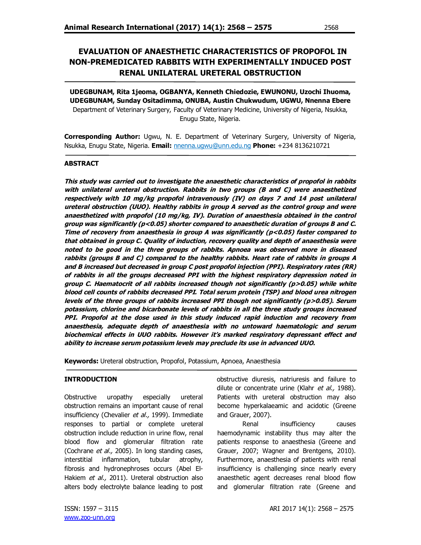# **EVALUATION OF ANAESTHETIC CHARACTERISTICS OF PROPOFOL IN NON-PREMEDICATED RABBITS WITH EXPERIMENTALLY INDUCED POST RENAL UNILATERAL URETERAL OBSTRUCTION**

**UDEGBUNAM, Rita 1jeoma, OGBANYA, Kenneth Chiedozie, EWUNONU, Uzochi Ihuoma, UDEGBUNAM, Sunday Ositadimma, ONUBA, Austin Chukwudum, UGWU, Nnenna Ebere** Department of Veterinary Surgery, Faculty of Veterinary Medicine, University of Nigeria, Nsukka, Enugu State, Nigeria.

**Corresponding Author:** Ugwu, N. E. Department of Veterinary Surgery, University of Nigeria, Nsukka, Enugu State, Nigeria. **Email:** nnenna.ugwu@unn.edu.ng **Phone:** +234 8136210721

## **ABSTRACT**

**This study was carried out to investigate the anaesthetic characteristics of propofol in rabbits with unilateral ureteral obstruction. Rabbits in two groups (B and C) were anaesthetized respectively with 10 mg/kg propofol intravenously (IV) on days 7 and 14 post unilateral ureteral obstruction (UUO). Healthy rabbits in group A served as the control group and were anaesthetized with propofol (10 mg/kg, IV). Duration of anaesthesia obtained in the control group was significantly (p<0.05) shorter compared to anaesthetic duration of groups B and C. Time of recovery from anaesthesia in group A was significantly (p<0.05) faster compared to that obtained in group C. Quality of induction, recovery quality and depth of anaesthesia were noted to be good in the three groups of rabbits. Apnoea was observed more in diseased rabbits (groups B and C) compared to the healthy rabbits. Heart rate of rabbits in groups A and B increased but decreased in group C post propofol injection (PPI). Respiratory rates (RR) of rabbits in all the groups decreased PPI with the highest respiratory depression noted in group C. Haematocrit of all rabbits increased though not significantly (p>0.05) while white blood cell counts of rabbits decreased PPI. Total serum protein (TSP) and blood urea nitrogen levels of the three groups of rabbits increased PPI though not significantly (p>0.05). Serum potassium, chlorine and bicarbonate levels of rabbits in all the three study groups increased PPI. Propofol at the dose used in this study induced rapid induction and recovery from anaesthesia, adequate depth of anaesthesia with no untoward haematologic and serum biochemical effects in UUO rabbits. However it's marked respiratory depressant effect and ability to increase serum potassium levels may preclude its use in advanced UUO.**

**Keywords:** Ureteral obstruction, Propofol, Potassium, Apnoea, Anaesthesia

## **INTRODUCTION**

Obstructive uropathy especially ureteral obstruction remains an important cause of renal insufficiency (Chevalier et al., 1999). Immediate responses to partial or complete ureteral obstruction include reduction in urine flow, renal blood flow and glomerular filtration rate (Cochrane et al., 2005). In long standing cases, interstitial inflammation, tubular atrophy, fibrosis and hydronephroses occurs (Abel El-Hakiem et al., 2011). Ureteral obstruction also alters body electrolyte balance leading to post obstructive diuresis, natriuresis and failure to dilute or concentrate urine (Klahr et al., 1988). Patients with ureteral obstruction may also become hyperkalaeamic and acidotic (Greene and Grauer, 2007).

Renal insufficiency causes haemodynamic instability thus may alter the patients response to anaesthesia (Greene and Grauer, 2007; Wagner and Brentgens, 2010). Furthermore, anaesthesia of patients with renal insufficiency is challenging since nearly every anaesthetic agent decreases renal blood flow and glomerular filtration rate (Greene and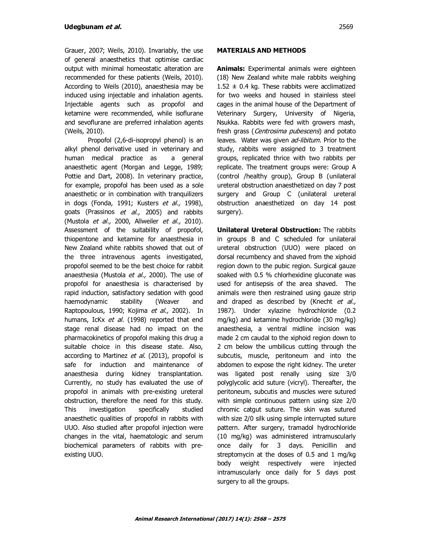Grauer, 2007; Weils, 2010). Invariably, the use of general anaesthetics that optimise cardiac output with minimal homeostatic alteration are recommended for these patients (Weils, 2010). According to Weils (2010), anaesthesia may be induced using injectable and inhalation agents. Injectable agents such as propofol and ketamine were recommended, while isoflurane and sevoflurane are preferred inhalation agents (Weils, 2010).

Propofol (2,6-di-isopropyl phenol) is an alkyl phenol derivative used in veterinary and human medical practice as a general anaesthetic agent (Morgan and Legge, 1989; Pottie and Dart, 2008). In veterinary practice, for example, propofol has been used as a sole anaesthetic or in combination with tranquilizers in dogs (Fonda, 1991; Kusters et al., 1998), goats (Prassinos et al., 2005) and rabbits (Mustola *et al.,* 2000, Allweiler *et al.,* 2010). Assessment of the suitability of propofol, thiopentone and ketamine for anaesthesia in New Zealand white rabbits showed that out of the three intravenous agents investigated, propofol seemed to be the best choice for rabbit anaesthesia (Mustola et al., 2000). The use of propofol for anaesthesia is characterised by rapid induction, satisfactory sedation with good haemodynamic stability (Weaver and Raptopoulous, 1990; Kojima et al., 2002). In humans, IcKx et al. (1998) reported that end stage renal disease had no impact on the pharmacokinetics of propofol making this drug a suitable choice in this disease state. Also, according to Martinez et al. (2013), propofol is safe for induction and maintenance of anaesthesia during kidney transplantation. Currently, no study has evaluated the use of propofol in animals with pre-existing ureteral obstruction, therefore the need for this study. This investigation specifically studied anaesthetic qualities of propofol in rabbits with UUO. Also studied after propofol injection were changes in the vital, haematologic and serum biochemical parameters of rabbits with preexisting UUO.

## **MATERIALS AND METHODS**

**Animals:** Experimental animals were eighteen (18) New Zealand white male rabbits weighing  $1.52 \pm 0.4$  kg. These rabbits were acclimatized for two weeks and housed in stainless steel cages in the animal house of the Department of Veterinary Surgery, University of Nigeria, Nsukka. Rabbits were fed with growers mash, fresh grass (Centrosima pubescens) and potato leaves. Water was given ad-libitum. Prior to the study, rabbits were assigned to 3 treatment groups, replicated thrice with two rabbits per replicate. The treatment groups were: Group A (control /healthy group), Group B (unilateral ureteral obstruction anaesthetized on day 7 post surgery and Group C (unilateral ureteral obstruction anaesthetized on day 14 post surgery).

**Unilateral Ureteral Obstruction:** The rabbits in groups B and C scheduled for unilateral ureteral obstruction (UUO) were placed on dorsal recumbency and shaved from the xiphoid region down to the pubic region. Surgical gauze soaked with 0.5 % chlorhexidine gluconate was used for antisepsis of the area shaved. The animals were then restrained using gauze strip and draped as described by (Knecht et al., 1987). Under xylazine hydrochloride (0.2 mg/kg) and ketamine hydrochloride (30 mg/kg) anaesthesia, a ventral midline incision was made 2 cm caudal to the xiphoid region down to 2 cm below the umbilicus cutting through the subcutis, muscle, peritoneum and into the abdomen to expose the right kidney. The ureter was ligated post renally using size 3/0 polyglycolic acid suture (vicryl). Thereafter, the peritoneum, subcutis and muscles were sutured with simple continuous pattern using size 2/0 chromic catgut suture. The skin was sutured with size 2/0 silk using simple interrupted suture pattern. After surgery, tramadol hydrochloride (10 mg/kg) was administered intramuscularly once daily for 3 days. Penicillin and streptomycin at the doses of 0.5 and 1 mg/kg body weight respectively were injected intramuscularly once daily for 5 days post surgery to all the groups.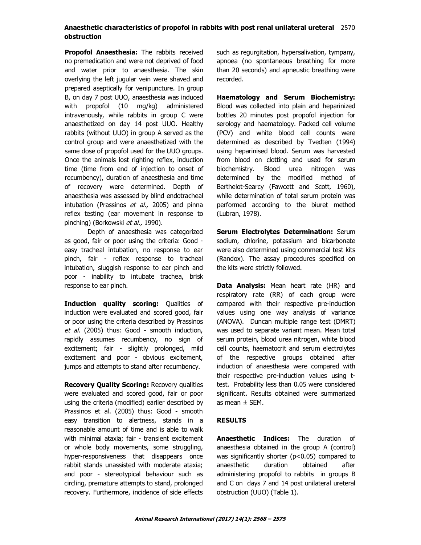## **Anaesthetic characteristics of propofol in rabbits with post renal unilateral ureteral** 2570 **obstruction**

**Propofol Anaesthesia:** The rabbits received no premedication and were not deprived of food and water prior to anaesthesia. The skin overlying the left jugular vein were shaved and prepared aseptically for venipuncture. In group B, on day 7 post UUO, anaesthesia was induced with propofol (10 mg/kg) administered intravenously, while rabbits in group C were anaesthetized on day 14 post UUO. Healthy rabbits (without UUO) in group A served as the control group and were anaesthetized with the same dose of propofol used for the UUO groups. Once the animals lost righting reflex, induction time (time from end of injection to onset of recumbency), duration of anaesthesia and time of recovery were determined. Depth of anaesthesia was assessed by blind endotracheal intubation (Prassinos et al., 2005) and pinna reflex testing (ear movement in response to pinching) (Borkowski et al., 1990).

Depth of anaesthesia was categorized as good, fair or poor using the criteria: Good easy tracheal intubation, no response to ear pinch, fair - reflex response to tracheal intubation, sluggish response to ear pinch and poor - inability to intubate trachea, brisk response to ear pinch.

**Induction quality scoring:** Qualities of induction were evaluated and scored good, fair or poor using the criteria described by Prassinos et al. (2005) thus: Good - smooth induction, rapidly assumes recumbency, no sign of excitement; fair - slightly prolonged, mild excitement and poor - obvious excitement, jumps and attempts to stand after recumbency.

**Recovery Quality Scoring:** Recovery qualities were evaluated and scored good, fair or poor using the criteria (modified) earlier described by Prassinos et al. (2005) thus: Good - smooth easy transition to alertness, stands in a reasonable amount of time and is able to walk with minimal ataxia; fair - transient excitement or whole body movements, some struggling, hyper-responsiveness that disappears once rabbit stands unassisted with moderate ataxia; and poor - stereotypical behaviour such as circling, premature attempts to stand, prolonged recovery. Furthermore, incidence of side effects

such as regurgitation, hypersalivation, tympany, apnoea (no spontaneous breathing for more than 20 seconds) and apneustic breathing were recorded.

**Haematology and Serum Biochemistry:** Blood was collected into plain and heparinized bottles 20 minutes post propofol injection for serology and haematology. Packed cell volume (PCV) and white blood cell counts were determined as described by Tvedten (1994) using heparinised blood. Serum was harvested from blood on clotting and used for serum biochemistry. Blood urea nitrogen was determined by the modified method of Berthelot-Searcy (Fawcett and Scott, 1960), while determination of total serum protein was performed according to the biuret method (Lubran, 1978).

**Serum Electrolytes Determination:** Serum sodium, chlorine, potassium and bicarbonate were also determined using commercial test kits (Randox). The assay procedures specified on the kits were strictly followed.

**Data Analysis:** Mean heart rate (HR) and respiratory rate (RR) of each group were compared with their respective pre-induction values using one way analysis of variance (ANOVA). Duncan multiple range test (DMRT) was used to separate variant mean. Mean total serum protein, blood urea nitrogen, white blood cell counts, haematocrit and serum electrolytes of the respective groups obtained after induction of anaesthesia were compared with their respective pre-induction values using ttest. Probability less than 0.05 were considered significant. Results obtained were summarized as mean  $\pm$  SEM.

## **RESULTS**

**Anaesthetic Indices:** The duration of anaesthesia obtained in the group A (control) was significantly shorter (p<0.05) compared to anaesthetic duration obtained after administering propofol to rabbits in groups B and C on days 7 and 14 post unilateral ureteral obstruction (UUO) (Table 1).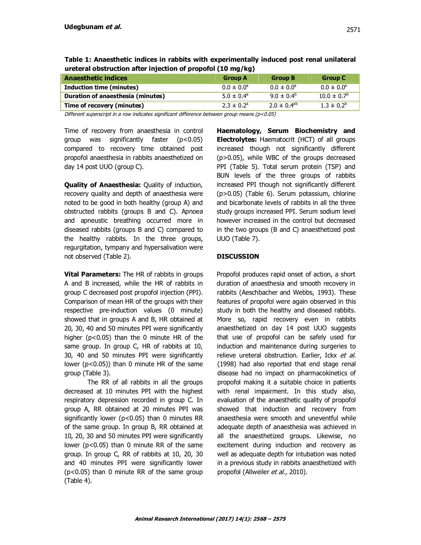| <b>Anaesthetic indices</b>        | <b>Group A</b>             | <b>Group B</b>        | Group C                |  |  |  |  |
|-----------------------------------|----------------------------|-----------------------|------------------------|--|--|--|--|
| Induction time (minutes)          | $0.0 \pm 0.0^{\circ}$      | $0.0 \pm 0.0^{\circ}$ | $0.0 \pm 0.0^{\circ}$  |  |  |  |  |
| Duration of anaesthesia (minutes) | $5.0 \pm 0.4^{\circ}$      | $9.0 \pm 0.4^b$       | $10.0 \pm 0.7^{\circ}$ |  |  |  |  |
| Time of recovery (minutes)        | $2.3 \pm 0.2$ <sup>a</sup> | $2.0 \pm 0.4^{ab}$    | $1.3 \pm 0.2^b$        |  |  |  |  |

**Table 1: Anaesthetic indices in rabbits with experimentally induced post renal unilateral ureteral obstruction after injection of propofol (10 mg/kg)**

Different superscript in a row indicates significant difference between group means ( $p$ <0.05)

Time of recovery from anaesthesia in control group was significantly faster  $(p<0.05)$ compared to recovery time obtained post propofol anaesthesia in rabbits anaesthetized on day 14 post UUO (group C).

**Quality of Anaesthesia:** Quality of induction, recovery quality and depth of anaesthesia were noted to be good in both healthy (group A) and obstructed rabbits (groups B and C). Apnoea and apneustic breathing occurred more in diseased rabbits (groups B and C) compared to the healthy rabbits. In the three groups, regurgitation, tympany and hypersalivation were not observed (Table 2).

**Vital Parameters:** The HR of rabbits in groups A and B increased, while the HR of rabbits in group C decreased post propofol injection (PPI). Comparison of mean HR of the groups with their respective pre-induction values (0 minute) showed that in groups A and B, HR obtained at 20, 30, 40 and 50 minutes PPI were significantly higher (p<0.05) than the 0 minute HR of the same group. In group C, HR of rabbits at 10, 30, 40 and 50 minutes PPI were significantly lower  $(p<0.05)$ ) than 0 minute HR of the same group (Table 3).

The RR of all rabbits in all the groups decreased at 10 minutes PPI with the highest respiratory depression recorded in group C. In group A, RR obtained at 20 minutes PPI was significantly lower ( $p$ <0.05) than 0 minutes RR of the same group. In group B, RR obtained at 10, 20, 30 and 50 minutes PPI were significantly lower (p<0.05) than 0 minute RR of the same group. In group C, RR of rabbits at 10, 20, 30 and 40 minutes PPI were significantly lower (p<0.05) than 0 minute RR of the same group (Table 4).

**Haematology, Serum Biochemistry and Electrolytes:** Haematocrit (HCT) of all groups increased though not significantly different (p>0.05), while WBC of the groups decreased PPI (Table 5). Total serum protein (TSP) and BUN levels of the three groups of rabbits increased PPI though not significantly different (p>0.05) (Table 6). Serum potassium, chlorine and bicarbonate levels of rabbits in all the three study groups increased PPI. Serum sodium level however increased in the control but decreased in the two groups (B and C) anaesthetized post UUO (Table 7).

## **DISCUSSION**

Propofol produces rapid onset of action, a short duration of anaesthesia and smooth recovery in rabbits (Aeschbacher and Webbs, 1993). These features of propofol were again observed in this study in both the healthy and diseased rabbits. More so, rapid recovery even in rabbits anaesthetized on day 14 post UUO suggests that use of propofol can be safely used for induction and maintenance during surgeries to relieve ureteral obstruction. Earlier, Ickx et al. (1998) had also reported that end stage renal disease had no impact on pharmacokinetics of propofol making it a suitable choice in patients with renal impairment. In this study also, evaluation of the anaesthetic quality of propofol showed that induction and recovery from anaesthesia were smooth and uneventful while adequate depth of anaesthesia was achieved in all the anaesthetized groups. Likewise, no excitement during induction and recovery as well as adequate depth for intubation was noted in a previous study in rabbits anaesthetized with propofol (Allweiler et al., 2010).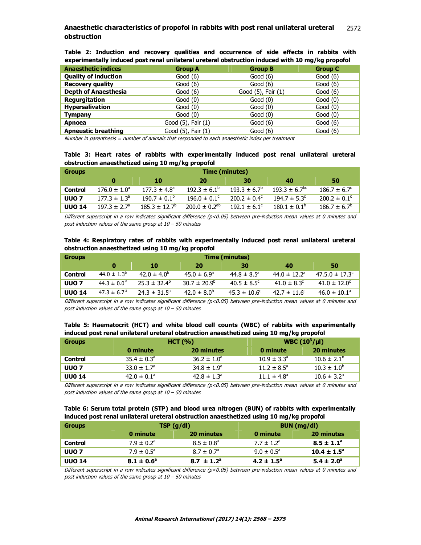#### **Anaesthetic characteristics of propofol in rabbits with post renal unilateral ureteral** 2570 **obstruction** 2572

**Table 2: Induction and recovery qualities and occurrence of side effects in rabbits with experimentally induced post renal unilateral ureteral obstruction induced with 10 mg/kg propofol** 

| <b>Anaesthetic indices</b>  | <b>Group A</b>     | <b>Group B</b>     | <b>Group C</b> |
|-----------------------------|--------------------|--------------------|----------------|
| <b>Quality of induction</b> | Good $(6)$         | Good $(6)$         | Good $(6)$     |
| <b>Recovery quality</b>     | Good $(6)$         | Good $(6)$         | Good $(6)$     |
| <b>Depth of Anaesthesia</b> | Good $(6)$         | Good (5), Fair (1) | Good $(6)$     |
| <b>Requrgitation</b>        | Good $(0)$         | Good $(0)$         | Good $(0)$     |
| <b>Hypersalivation</b>      | Good $(0)$         | Good $(0)$         | Good $(0)$     |
| <b>Tympany</b>              | Good $(0)$         | Good $(0)$         | Good $(0)$     |
| Apnoea                      | Good (5), Fair (1) | Good $(6)$         | Good $(6)$     |
| <b>Apneustic breathing</b>  | Good (5), Fair (1) | Good $(6)$         | Good $(6)$     |

Number in parenthesis = number of animals that responded to each anaesthetic index per treatment

## **Table 3: Heart rates of rabbits with experimentally induced post renal unilateral ureteral obstruction anaesthetized using 10 mg/kg propofol**

| <b>Groups</b>    | Time (minutes)               |                          |                         |                         |                               |                         |  |
|------------------|------------------------------|--------------------------|-------------------------|-------------------------|-------------------------------|-------------------------|--|
|                  |                              | 10                       | 20                      | 30                      | 40                            | 50                      |  |
| Control          | $176.0 \pm 1.0^{\circ}$      | $177.3 \pm 4.8^{\circ}$  | $192.3 \pm 6.1^{\circ}$ | $193.3 \pm 6.7^{\circ}$ | $193.3 \pm 6.7$ <sup>pc</sup> | $186.7 \pm 6.7^{\circ}$ |  |
| UUO <sub>7</sub> | $177.3 \pm 1.3^{\circ}$      | $190.7 \pm 0.1^{\circ}$  | $196.0 \pm 0.1^{\circ}$ | $200.2 \pm 0.4^{\circ}$ | $194.7 \pm 5.3^{\circ}$       | $200.2 \pm 0.1^{\circ}$ |  |
| <b>UUO 14</b>    | $197.3 \pm 2.7$ <sup>a</sup> | $185.3 \pm 12.7^{\circ}$ | $200.0 \pm 0.2^{ab}$    | $192.1 \pm 6.1^{\circ}$ | $180.1 \pm 0.1^{\circ}$       | $186.7 \pm 6.7^b$       |  |

Different superscript in a row indicates significant difference  $(p<0.05)$  between pre-induction mean values at 0 minutes and post induction values of the same group at  $10 - 50$  minutes

### **Table 4: Respiratory rates of rabbits with experimentally induced post renal unilateral ureteral obstruction anaesthetized using 10 mg/kg propofol**

| <b>Groups</b>    | Time (minutes)         |                         |                         |                         |                              |                                |  |
|------------------|------------------------|-------------------------|-------------------------|-------------------------|------------------------------|--------------------------------|--|
|                  |                        | 10                      | 20                      | 30                      | 40                           | 50                             |  |
| Control          | $44.0 \pm 1.3^{\circ}$ | $42.0 \pm 4.0^{\circ}$  | $45.0 \pm 6.9^{\circ}$  | $44.8 \pm 8.5^{\circ}$  | $44.0 \pm 12.2$ <sup>a</sup> | $47.5.0 \pm 17.3$ <sup>c</sup> |  |
| UUO <sub>7</sub> | $44.3 \pm 0.0^{\circ}$ | $25.3 \pm 32.4^{\circ}$ | $30.7 \pm 20.9^{\circ}$ | $40.5 \pm 8.5^{\circ}$  | 41.0 $\pm$ 8.3 <sup>c</sup>  | $41.0 \pm 12.0^c$              |  |
| <b>UUO 14</b>    | $47.3 \pm 6.7^{\circ}$ | $24.3 \pm 31.5^{\circ}$ | $42.0 \pm 8.0^b$        | $45.3 \pm 10.6^{\circ}$ | $42.7 \pm 11.6^c$            | $46.0 \pm 10.1^a$              |  |

Different superscript in a row indicates significant difference (p<0.05) between pre-induction mean values at 0 minutes and post induction values of the same group at  $10 - 50$  minutes

|                                                                                          |  |  |  | Table 5: Haematocrit (HCT) and white blood cell counts (WBC) of rabbits with experimentally |
|------------------------------------------------------------------------------------------|--|--|--|---------------------------------------------------------------------------------------------|
| induced post renal unilateral ureteral obstruction anaesthetized using 10 mg/kg propofol |  |  |  |                                                                                             |

| <b>Groups</b>    | HCT (%)                |                             | <b>WBC</b> $(10^3/\mu l)$ |                             |  |  |
|------------------|------------------------|-----------------------------|---------------------------|-----------------------------|--|--|
|                  | 0 minute               | 20 minutes                  | 0 minute                  | 20 minutes                  |  |  |
| Control          | $35.4 \pm 0.3^{\circ}$ | $36.2 \pm 1.0^{\circ}$      | $10.9 \pm 3.3^{\circ}$    | $10.6 \pm 2.1^b$            |  |  |
| UUO <sub>7</sub> | $33.0 \pm 1.7^{\circ}$ | $34.8 \pm 1.9^{\circ}$      | $11.2 \pm 8.5^{\circ}$    | $10.3 \pm 1.0^b$            |  |  |
| <b>UU0 14</b>    | $42.0 \pm 0.1^{\circ}$ | $42.8 \pm 1.3$ <sup>a</sup> | $11.1 \pm 4.8^{\circ}$    | $10.6 \pm 3.2$ <sup>a</sup> |  |  |

Different superscript in a row indicates significant difference  $(p<0.05)$  between pre-induction mean values at 0 minutes and post induction values of the same group at  $10 - 50$  minutes

|  |                                                                                          |  |  |  | Table 6: Serum total protein (STP) and blood urea nitrogen (BUN) of rabbits with experimentally |
|--|------------------------------------------------------------------------------------------|--|--|--|-------------------------------------------------------------------------------------------------|
|  | induced post renal unilateral ureteral obstruction anaesthetized using 10 mg/kg propofol |  |  |  |                                                                                                 |

| <b>Groups</b>    | TSP(g/dl)                  |                            | BUN (mg/dl)                |                        |  |
|------------------|----------------------------|----------------------------|----------------------------|------------------------|--|
|                  | 0 minute                   | 20 minutes                 | 0 minute                   | 20 minutes             |  |
| Control          | $7.9 \pm 0.2$ <sup>a</sup> | $8.5 \pm 0.8^{\circ}$      | $7.7 \pm 1.2$ <sup>a</sup> | $8.5 \pm 1.1^a$        |  |
| UUO <sub>7</sub> | $7.9 \pm 0.5^{\circ}$      | $8.7 \pm 0.7^{\circ}$      | $9.0 \pm 0.5^{\circ}$      | $10.4 \pm 1.5^{\circ}$ |  |
| <b>UUO 14</b>    | $8.1 \pm 0.6^{\circ}$      | $8.7 \pm 1.2$ <sup>a</sup> | $4.2 \pm 1.5^{\circ}$      | $5.4 \pm 2.0^{\circ}$  |  |

Different superscript in a row indicates significant difference (p<0.05) between pre-induction mean values at 0 minutes and post induction values of the same group at 10 – 50 minutes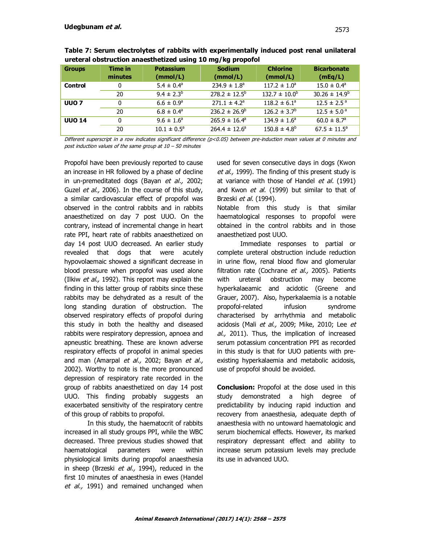| ureteral obstruction anaesthetized using 10 mg/kg proporol |                    |                              |                              |                             |                               |  |  |  |
|------------------------------------------------------------|--------------------|------------------------------|------------------------------|-----------------------------|-------------------------------|--|--|--|
| <b>Groups</b>                                              | Time in<br>minutes | <b>Potassium</b><br>(mmol/L) | <b>Sodium</b><br>(mmol/L)    | <b>Chlorine</b><br>(mmol/L) | <b>Bicarbonate</b><br>(mEq/L) |  |  |  |
| <b>Control</b>                                             | 0                  | $5.4 \pm 0.4^{\circ}$        | $234.9 \pm 1.8$ <sup>a</sup> | $117.2 \pm 1.0^a$           | $15.0 \pm 0.4^{\circ}$        |  |  |  |
|                                                            | 20                 | $9.4 \pm 2.3^{b}$            | $278.2 \pm 12.5^{\circ}$     | $132.7 \pm 10.0^{\circ}$    | $30.26 \pm 14.9^b$            |  |  |  |
| UUO <sub>7</sub>                                           | 0                  | $6.6 \pm 0.9^{\circ}$        | $271.1 \pm 4.2$ <sup>a</sup> | $118.2 \pm 6.1^{\circ}$     | $12.5 \pm 2.5^{\circ}$        |  |  |  |
|                                                            | 20                 | $6.8 \pm 0.4^{\circ}$        | $236.2 \pm 26.9^{\circ}$     | $126.2 \pm 3.7^{\circ}$     | $12.5 \pm 5.0^{\circ}$        |  |  |  |

 $265.9 \pm 16.4^a$ 

 $264.4 \pm 12.6^a$ 

**Table 7: Serum electrolytes of rabbits with experimentally induced post renal unilateral ureteral obstruction anaesthetized using 10 mg/kg propofol** 

Different superscript in a row indicates significant difference (p<0.05) between pre-induction mean values at 0 minutes and post induction values of the same group at 10 – 50 minutes

Propofol have been previously reported to cause an increase in HR followed by a phase of decline in un-premeditated dogs (Bayan et al., 2002; Guzel et al., 2006). In the course of this study, a similar cardiovascular effect of propofol was observed in the control rabbits and in rabbits anaesthetized on day 7 post UUO. On the contrary, instead of incremental change in heart rate PPI, heart rate of rabbits anaesthetized on day 14 post UUO decreased. An earlier study revealed that dogs that were acutely hypovolaemaic showed a significant decrease in blood pressure when propofol was used alone (Ilkiw et al., 1992). This report may explain the finding in this latter group of rabbits since these rabbits may be dehydrated as a result of the long standing duration of obstruction. The observed respiratory effects of propofol during this study in both the healthy and diseased rabbits were respiratory depression, apnoea and apneustic breathing. These are known adverse respiratory effects of propofol in animal species and man (Amarpal et al., 2002; Bayan et al., 2002). Worthy to note is the more pronounced depression of respiratory rate recorded in the group of rabbits anaesthetized on day 14 post UUO. This finding probably suggests an exacerbated sensitivity of the respiratory centre of this group of rabbits to propofol.

**UUO 14** 0 9.6  $\pm 1.6^{\circ}$ 

20  $10.1 \pm 0.5^a$ 

In this study, the haematocrit of rabbits increased in all study groups PPI, while the WBC decreased. Three previous studies showed that haematological parameters were within physiological limits during propofol anaesthesia in sheep (Brzeski *et al.*, 1994), reduced in the first 10 minutes of anaesthesia in ewes (Handel et al., 1991) and remained unchanged when used for seven consecutive days in dogs (Kwon et al., 1999). The finding of this present study is at variance with those of Handel et al. (1991) and Kwon et al. (1999) but similar to that of Brzeski et al. (1994).

 $134.9 \pm 1.6^a$ 

 $150.8 \pm 4.8$ <sup>b</sup>

Notable from this study is that similar haematological responses to propofol were obtained in the control rabbits and in those anaesthetized post UUO.

Immediate responses to partial or complete ureteral obstruction include reduction in urine flow, renal blood flow and glomerular filtration rate (Cochrane et al., 2005). Patients with ureteral obstruction may become hyperkalaeamic and acidotic (Greene and Grauer, 2007). Also, hyperkalaemia is a notable propofol-related infusion syndrome characterised by arrhythmia and metabolic acidosis (Mali et al., 2009; Mike, 2010; Lee et al., 2011). Thus, the implication of increased serum potassium concentration PPI as recorded in this study is that for UUO patients with preexisting hyperkalaemia and metabolic acidosis, use of propofol should be avoided.

**Conclusion:** Propofol at the dose used in this study demonstrated a high degree of predictability by inducing rapid induction and recovery from anaesthesia, adequate depth of anaesthesia with no untoward haematologic and serum biochemical effects. However, its marked respiratory depressant effect and ability to increase serum potassium levels may preclude its use in advanced UUO.

 $60.0 \pm 8.7$ <sup>a</sup>

 $67.5 \pm 11.5^a$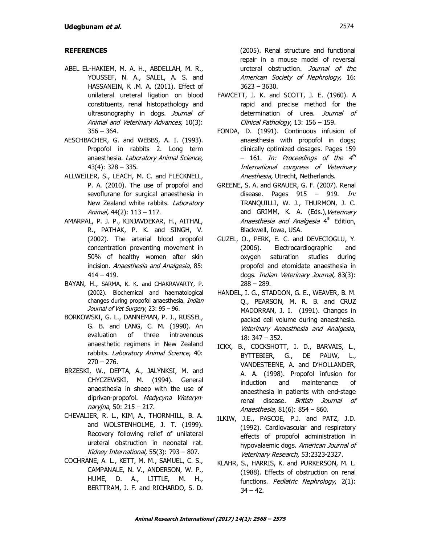## **REFERENCES**

- ABEL EL-HAKIEM, M. A. H., ABDELLAH, M. R., YOUSSEF, N. A., SALEL, A. S. and HASSANEIN, K .M. A. (2011). Effect of unilateral ureteral ligation on blood constituents, renal histopathology and ultrasonography in dogs. Journal of Animal and Veterinary Advances, 10(3):  $356 - 364.$
- AESCHBACHER, G. and WEBBS, A. I. (1993). Propofol in rabbits 2. Long term anaesthesia. Laboratory Animal Science, 43(4): 328 – 335.
- ALLWEILER, S., LEACH, M. C. and FLECKNELL, P. A. (2010). The use of propofol and sevoflurane for surgical anaesthesia in New Zealand white rabbits. Laboratory Animal, 44(2): 113 – 117.
- AMARPAL, P. J. P., KINJAVDEKAR, H., AITHAL, R., PATHAK, P. K. and SINGH, V. (2002). The arterial blood propofol concentration preventing movement in 50% of healthy women after skin incision. Anaesthesia and Analgesia, 85:  $414 - 419.$
- BAYAN, H., SARMA, K. K. and CHAKRAVARTY, P. (2002). Biochemical and haematological changes during propofol anaesthesia. Indian Journal of Vet Surgery, 23: 95 - 96.
- BORKOWSKI, G. L., DANNEMAN, P. J., RUSSEL, G. B. and LANG, C. M. (1990). An evaluation of three intravenous anaesthetic regimens in New Zealand rabbits. Laboratory Animal Science, 40:  $270 - 276.$
- BRZESKI, W., DEPTA, A., JALYNKSI, M. and CHYCZEWSKI, M. (1994). General anaesthesia in sheep with the use of diprivan-propofol. Medycyna Weterynnaryjna, 50: 215 – 217.
- CHEVALIER, R. L., KIM, A., THORNHILL, B. A. and WOLSTENHOLME, J. T. (1999). Recovery following relief of unilateral ureteral obstruction in neonatal rat. Kidney International, 55(3): 793 – 807.
- COCHRANE, A. L., KETT, M. M., SAMUEL, C. S., CAMPANALE, N. V., ANDERSON, W. P., HUME, D. A., LITTLE, M. H., BERTTRAM, J. F. and RICHARDO, S. D.

(2005). Renal structure and functional repair in a mouse model of reversal ureteral obstruction. Journal of the American Society of Nephrology, 16: 3623 – 3630.

- FAWCETT, J. K. and SCOTT, J. E. (1960). A rapid and precise method for the determination of urea. Journal of Clinical Pathology, 13: 156 – 159.
- FONDA, D. (1991). Continuous infusion of anaesthesia with propofol in dogs; clinically optimized dosages. Pages 159 – 161. *In: Proceedings of the 4<sup>th</sup>* International congress of Veterinary Anesthesia, Utrecht, Netherlands.
- GREENE, S. A. and GRAUER, G. F. (2007). Renal disease. Pages  $915 - 919$ . In: TRANQUILLI, W. J., THURMON, J. C. and GRIMM, K. A. (Eds.), Veterinary Anaesthesia and Analgesia 4<sup>th</sup> Edition, Blackwell, Iowa, USA.
- GUZEL, O., PERK, E. C. and DEVECIOGLU, Y. (2006). Electrocardiographic and oxygen saturation studies during propofol and etomidate anaesthesia in dogs. Indian Veterinary Journal, 83(3): 288 – 289.
- HANDEL, I. G., STADDON, G. E., WEAVER, B. M. Q., PEARSON, M. R. B. and CRUZ MADORRAN, J. I. (1991). Changes in packed cell volume during anaesthesia. Veterinary Anaesthesia and Analgesia, 18: 347 – 352.
- ICKX, B., COCKSHOTT, I. D., BARVAIS, L., BYTTEBIER, G., DE PAUW, L., VANDESTEENE, A. and D'HOLLANDER, A. A. (1998). Propofol infusion for induction and maintenance of anaesthesia in patients with end-stage renal disease. British Journal of Anaesthesia, 81(6): 854 – 860.
- ILKIW, J.E., PASCOE, P.J. and PATZ, J.D. (1992). Cardiovascular and respiratory effects of propofol administration in hypovalaemic dogs. American Journal of Veterinary Research, 53:2323-2327.
- KLAHR, S., HARRIS, K. and PURKERSON, M. L. (1988). Effects of obstruction on renal functions. Pediatric Nephrology, 2(1):  $34 - 42$ .